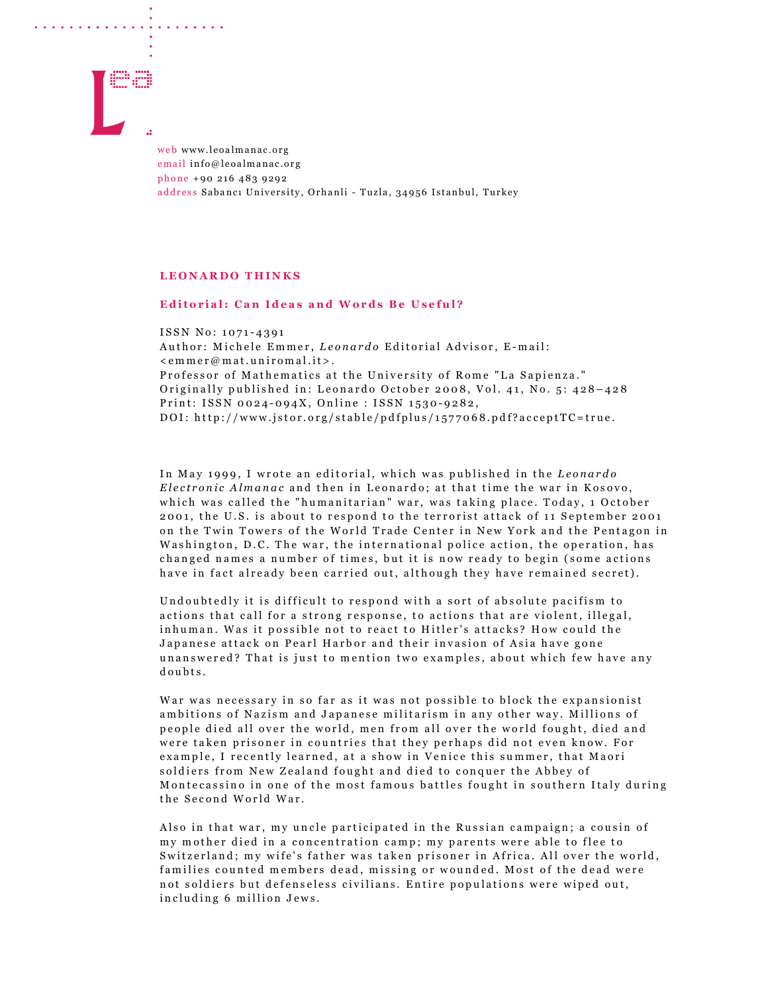

web www.leoalmanac.org email info@leoalmanac.org phone +90 216 483 9292 address Sabancı University, Orhanli - Tuzla, 34956 Istanbul, Turkey

## LEONARDO THINKS

## Editorial: Can Ideas and Words Be Useful?

ISSN No: 1071-4391 Author: Michele Emmer, Leonardo Editorial Advisor, E-mail:  $\leq$ emmer @ mat.uniromal.it>. Professor of Mathematics at the University of Rome "La Sapienza." Originally published in: Leonardo October 2008, Vol. 41, No.  $5: 428 - 428$ Print: ISSN 0024-094X, Online : ISSN 1530-9282, DOI: http://www.jstor.org/stable/pdfplus/1577068.pdf?acceptTC=true.

In May 1999, I wrote an editorial, which was published in the Leonardo Electronic Almanac and then in Leonardo; at that time the war in Kosovo, which was called the "humanitarian" war, was taking place. Today, 1 October 2001, the U.S. is about to respond to the terrorist attack of 11 September 2001 on the Twin Towers of the World Trade Center in New York and the Pentagon in Washington, D.C. The war, the international police action, the operation, has changed names a number of times, but it is now ready to begin (some actions have in fact already been carried out, although they have remained secret).

Undoubtedly it is difficult to respond with a sort of absolute pacifism to actions that call for a strong response, to actions that are violent, illegal, inhuman. Was it possible not to react to Hitler's attacks? How could the Japanese attack on Pearl Harbor and their invasion of Asia have gone unanswered? That is just to mention two examples, about which few have any d ou bts.

War was necessary in so far as it was not possible to block the expansionist ambitions of Nazism and Japanese militarism in any other way. Millions of people died all over the world, men from all over the world fought, died and were taken prisoner in countries that they perhaps did not even know. For example, I recently learned, at a show in Venice this summer, that Maori soldiers from New Zealand fought and died to conquer the Abbey of Montecassino in one of the most famous battles fought in southern Italy during the Second World War.

Also in that war, my uncle participated in the Russian campaign; a cousin of my mother died in a concentration camp; my parents were able to flee to Switzerland; my wife's father was taken prisoner in Africa. All over the world, families counted members dead, missing or wounded. Most of the dead were not soldiers but defenseless civilians. Entire populations were wiped out, in cluding 6 million Jews.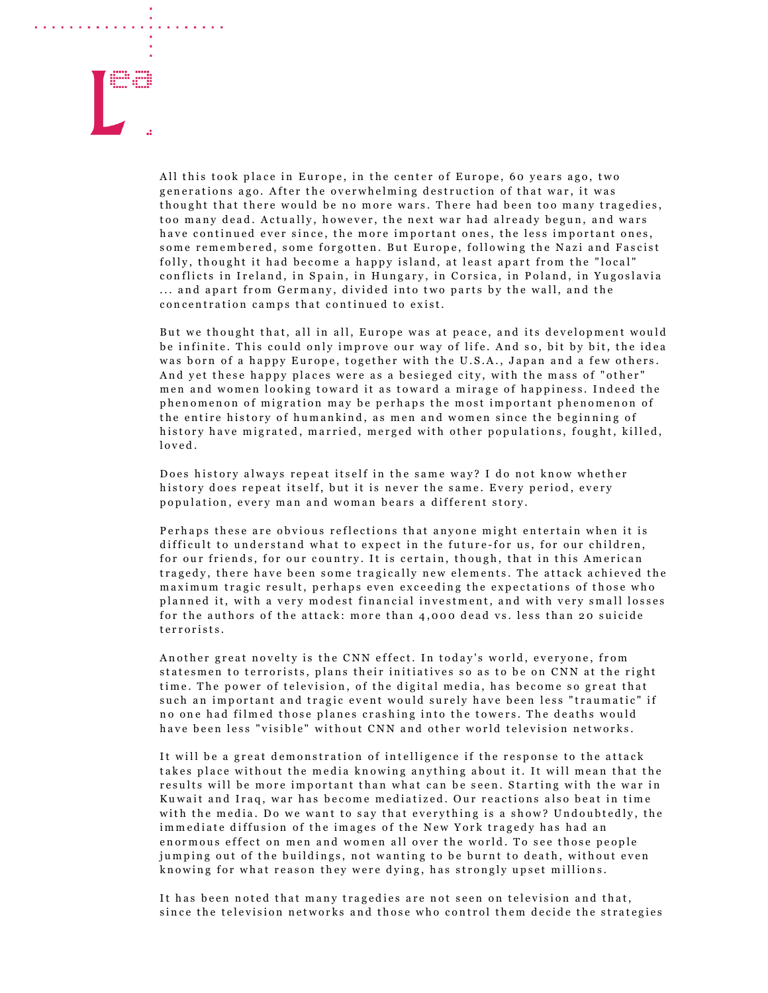

and a series of the contract of the

All this took place in Europe, in the center of Europe, 60 years ago, two generations ago. After the overwhelming destruction of that war, it was thought that there would be no more wars. There had been too many tragedies, too many dead. Actually, however, the next war had already begun, and wars have continued ever since, the more important ones, the less important ones, some remembered, some forgotten. But Europe, following the Nazi and Fascist folly, thought it had become a happy island, at least apart from the "local" conflicts in Ireland, in Spain, in Hungary, in Corsica, in Poland, in Yugoslavia ... and apart from Germany, divided into two parts by the wall, and the concentration camps that continued to exist.

But we thought that, all in all, Europe was at peace, and its development would be infinite. This could only improve our way of life. And so, bit by bit, the idea was born of a happy Europe, together with the U.S.A., Japan and a few others. And yet these happy places were as a besieged city, with the mass of "other" men and women looking toward it as toward a mirage of happiness. Indeed the phenomenon of migration may be perhaps the most important phenomenon of the entire history of humankind, as men and women since the beginning of history have migrated, married, merged with other populations, fought, killed, loved.

Does history always repeat itself in the same way? I do not know whether history does repeat itself, but it is never the same. Every period, every population, every man and woman bears a different story.

Perhaps these are obvious reflections that anyone might entertain when it is difficult to understand what to expect in the future-for us, for our children, for our friends, for our country. It is certain, though, that in this American tragedy, there have been some tragically new elements. The attack achieved the maximum tragic result, perhaps even exceeding the expectations of those who planned it, with a very modest financial investment, and with very small losses for the authors of the attack: more than 4,000 dead vs. less than 20 suicide terrorists.

Another great novelty is the CNN effect. In today's world, everyone, from statesmen to terrorists, plans their initiatives so as to be on CNN at the right time. The power of television, of the digital media, has become so great that such an important and tragic event would surely have been less "traumatic" if no one had filmed those planes crashing into the towers. The deaths would have been less "visible" without CNN and other world television networks.

It will be a great demonstration of intelligence if the response to the attack takes place without the media knowing anything about it. It will mean that the results will be more important than what can be seen. Starting with the war in Kuwait and Iraq, war has become mediatized. Our reactions also beat in time with the media. Do we want to say that everything is a show? Undoubtedly, the im m ediate diffusion of the images of the New York tragedy has had an en or mous effect on men and women all over the world. To see those people jumping out of the buildings, not wanting to be burnt to death, without even knowing for what reason they were dying, has strongly upset millions.

It has been noted that many tragedies are not seen on television and that, since the television networks and those who control them decide the strategies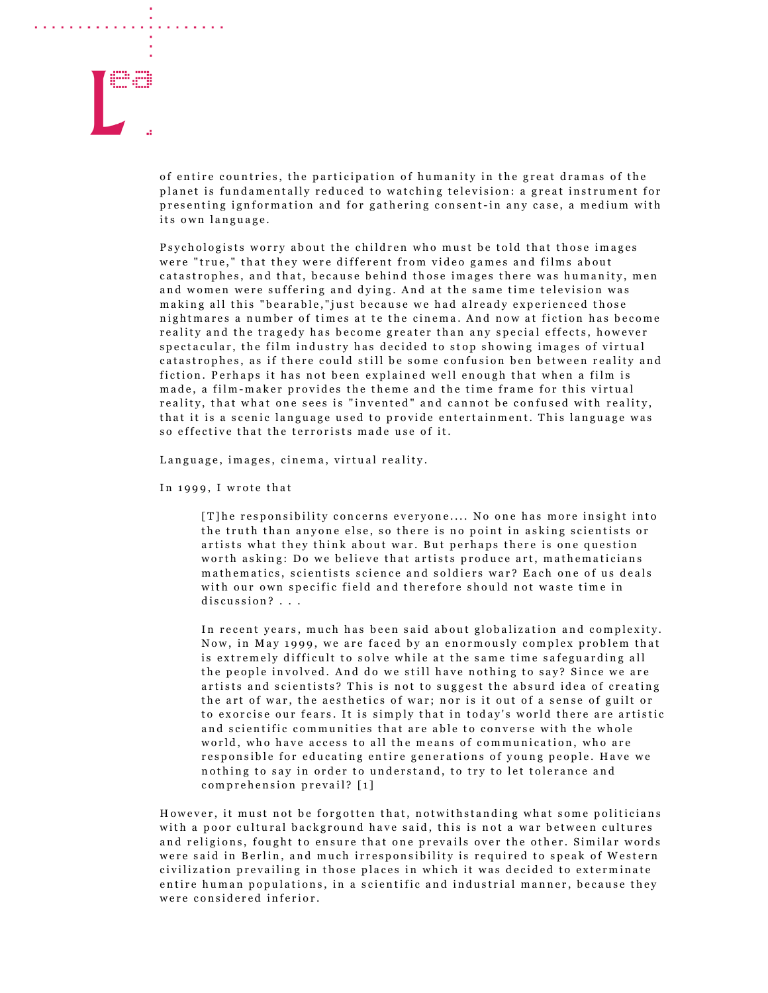

a construction of the construction of the construction of the construction of the construction of the construction of the construction of the construction of the construction of the construction of the construction of the

of entire countries, the participation of humanity in the great dramas of the planet is fundamentally reduced to watching television: a great instrument for presenting ignformation and for gathering consent-in any case, a medium with its own language.

P sy chologists worry about the children who must be told that those images were "true," that they were different from video games and films about catastrophes, and that, because behind those images there was humanity, men and women were suffering and dying. And at the same time television was making all this "bearable," just because we had already experienced those nightmares a number of times at te the cinema. And now at fiction has become reality and the tragedy has become greater than any special effects, however spectacular, the film industry has decided to stop showing images of virtual catastrophes, as if there could still be some confusion ben between reality and fiction. Perhaps it has not been explained well enough that when a film is made, a film-maker provides the theme and the time frame for this virtual reality, that what one sees is "invented" and cannot be confused with reality, that it is a scenic language used to provide entertainment. This language was so effective that the terrorists made use of it.

Language, images, cinema, virtual reality.

In 1999, I wrote that

[T]he responsibility concerns everyone.... No one has more insight into the truth than anyone else, so there is no point in asking scientists or artists what they think about war. But perhaps there is one question worth asking: Do we believe that artists produce art, mathematicians mathematics, scientists science and soldiers war? Each one of us deals with our own specific field and therefore should not waste time in discussion? . . .

In recent years, much has been said about globalization and complexity. Now, in May 1999, we are faced by an enormously complex problem that is extremely difficult to solve while at the same time safeguarding all the people involved. And do we still have nothing to say? Since we are artists and scientists? This is not to suggest the absurd idea of creating the art of war, the aesthetics of war; nor is it out of a sense of guilt or to exorcise our fears. It is simply that in today's world there are artistic and scientific communities that are able to converse with the whole world, who have access to all the means of communication, who are responsible for educating entire generations of young people. Have we nothing to say in order to understand, to try to let tolerance and comprehension prevail? [1]

However, it must not be forgotten that, notwithstanding what some politicians with a poor cultural background have said, this is not a war between cultures and religions, fought to ensure that one prevails over the other. Similar words were said in Berlin, and much irresponsibility is required to speak of Western civilization prevailing in those places in which it was decided to exterminate entire human populations, in a scientific and industrial manner, because they were considered inferior.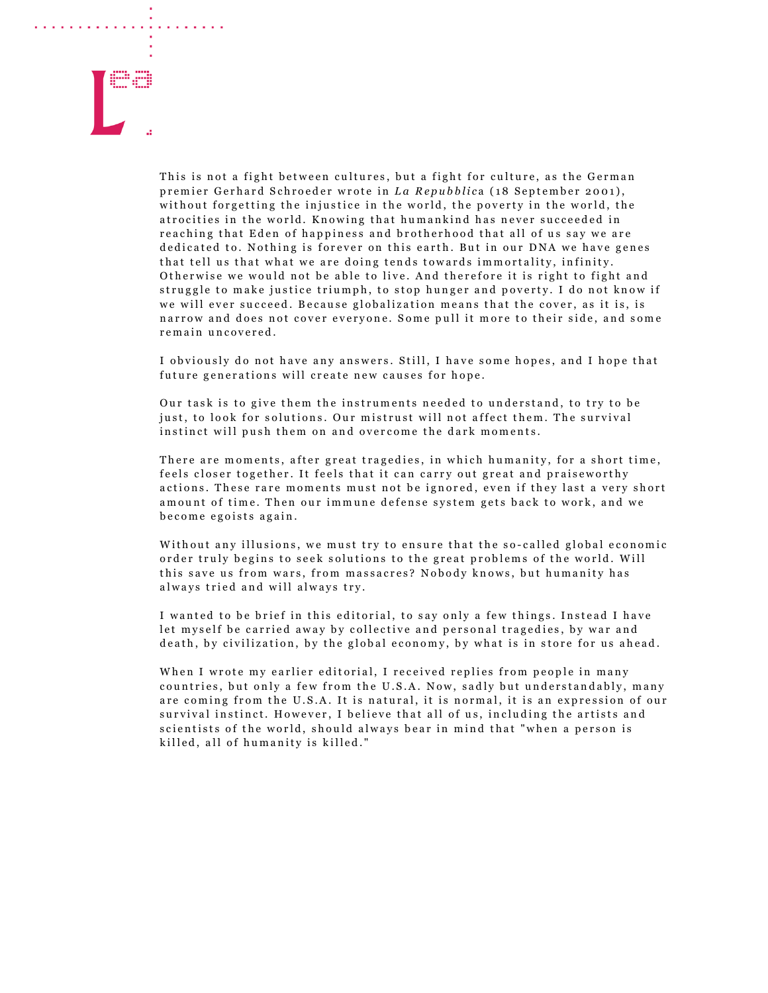

This is not a fight between cultures, but a fight for culture, as the German premier Gerhard Schroeder wrote in La Repubblica (18 September 2001), without forgetting the injustice in the world, the poverty in the world, the atrocities in the world. Knowing that humankind has never succeeded in reaching that Eden of happiness and brotherhood that all of us say we are dedicated to. Nothing is forever on this earth. But in our DNA we have genes that tell us that what we are doing tends towards immortality, infinity. Otherwise we would not be able to live. And therefore it is right to fight and struggle to make justice triumph, to stop hunger and poverty. I do not know if we will ever succeed. Because globalization means that the cover, as it is, is narrow and does not cover everyone. Some pull it more to their side, and some remain uncovered.

I obviously do not have any answers. Still, I have some hopes, and I hope that future generations will create new causes for hope.

Our task is to give them the instruments needed to understand, to try to be just, to look for solutions. Our mistrust will not affect them. The survival instinct will push them on and overcome the dark moments.

There are moments, after great tragedies, in which humanity, for a short time, feels closer together. It feels that it can carry out great and praiseworthy actions. These rare moments must not be ignored, even if they last a very short amount of time. Then our immune defense system gets back to work, and we become egoists again.

Without any illusions, we must try to ensure that the so-called global economic order truly begins to seek solutions to the great problems of the world. Will this save us from wars, from massacres? Nobody knows, but humanity has always tried and will always try.

I wanted to be brief in this editorial, to say only a few things. Instead I have let myself be carried away by collective and personal tragedies, by war and death, by civilization, by the global economy, by what is in store for us ahead.

When I wrote my earlier editorial, I received replies from people in many countries, but only a few from the U.S.A. Now, sadly but understandably, many are coming from the U.S.A. It is natural, it is normal, it is an expression of our survival instinct. However, I believe that all of us, including the artists and scientists of the world, should always bear in mind that "when a person is killed, all of humanity is killed."